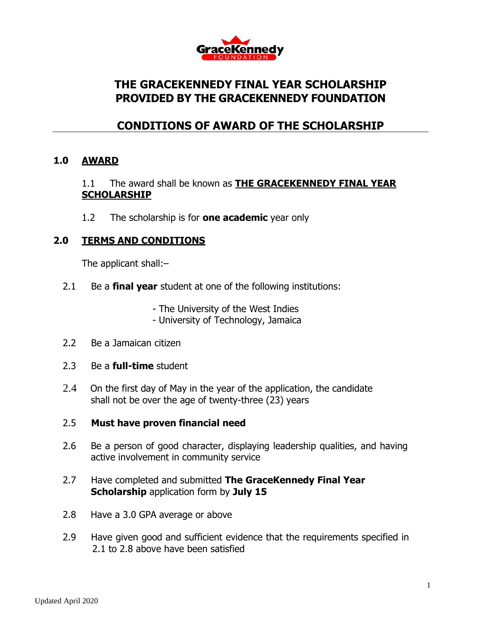

# **THE GRACEKENNEDY FINAL YEAR SCHOLARSHIP PROVIDED BY THE GRACEKENNEDY FOUNDATION**

# **CONDITIONS OF AWARD OF THE SCHOLARSHIP**

#### **1.0 AWARD**

### 1.1 The award shall be known as **THE GRACEKENNEDY FINAL YEAR SCHOLARSHIP**

1.2 The scholarship is for **one academic** year only

## **2.0 TERMS AND CONDITIONS**

The applicant shall:–

- 2.1 Be a **final year** student at one of the following institutions:
	- The University of the West Indies
	- University of Technology, Jamaica
- 2.2 Be a Jamaican citizen
- 2.3 Be a **full-time** student
- 2.4 On the first day of May in the year of the application, the candidate shall not be over the age of twenty-three (23) years

#### 2.5 **Must have proven financial need**

- 2.6 Be a person of good character, displaying leadership qualities, and having active involvement in community service
- 2.7 Have completed and submitted **The GraceKennedy Final Year Scholarship** application form by **July 15**
- 2.8 Have a 3.0 GPA average or above
- 2.9 Have given good and sufficient evidence that the requirements specified in 2.1 to 2.8 above have been satisfied